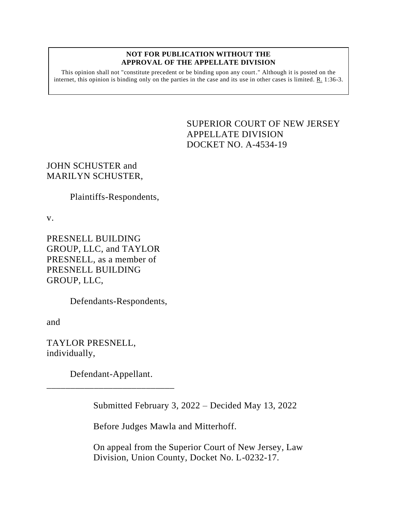## **NOT FOR PUBLICATION WITHOUT THE APPROVAL OF THE APPELLATE DIVISION**

This opinion shall not "constitute precedent or be binding upon any court." Although it is posted on the internet, this opinion is binding only on the parties in the case and its use in other cases is limited. R. 1:36-3.

> <span id="page-0-0"></span>SUPERIOR COURT OF NEW JERSEY APPELLATE DIVISION DOCKET NO. A-4534-19

JOHN SCHUSTER and MARILYN SCHUSTER,

Plaintiffs-Respondents,

v.

PRESNELL BUILDING GROUP, LLC, and TAYLOR PRESNELL, as a member of PRESNELL BUILDING GROUP, LLC,

Defendants-Respondents,

and

TAYLOR PRESNELL, individually,

Defendant-Appellant. \_\_\_\_\_\_\_\_\_\_\_\_\_\_\_\_\_\_\_\_\_\_\_\_\_\_\_

Submitted February 3, 2022 – Decided May 13, 2022

Before Judges Mawla and Mitterhoff.

On appeal from the Superior Court of New Jersey, Law Division, Union County, Docket No. L-0232-17.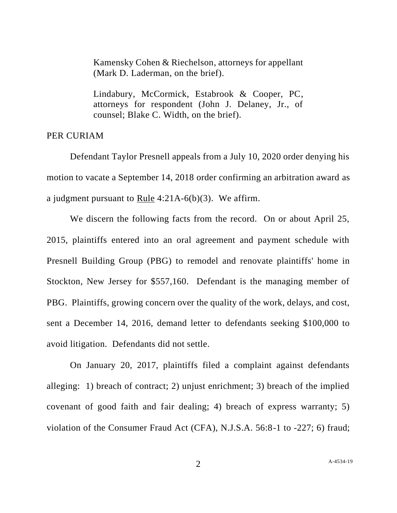Kamensky Cohen & Riechelson, attorneys for appellant (Mark D. Laderman, on the brief).

Lindabury, McCormick, Estabrook & Cooper, PC, attorneys for respondent (John J. Delaney, Jr., of counsel; Blake C. Width, on the brief).

## PER CURIAM

Defendant Taylor Presnell appeals from a July 10, 2020 order denying his motion to vacate a September 14, 2018 order confirming an arbitration award as a judgment pursuant to Rule 4:21A-6(b)(3). We affirm.

We discern the following facts from the record. On or about April 25, 2015, plaintiffs entered into an oral agreement and payment schedule with Presnell Building Group (PBG) to remodel and renovate plaintiffs' home in Stockton, New Jersey for \$557,160. Defendant is the managing member of PBG. Plaintiffs, growing concern over the quality of the work, delays, and cost, sent a December 14, 2016, demand letter to defendants seeking \$100,000 to avoid litigation. Defendants did not settle.

On January 20, 2017, plaintiffs filed a complaint against defendants alleging: 1) breach of contract; 2) unjust enrichment; 3) breach of the implied covenant of good faith and fair dealing; 4) breach of express warranty; 5) violation of the Consumer Fraud Act (CFA), N.J.S.A. 56:8-1 to -227; 6) fraud;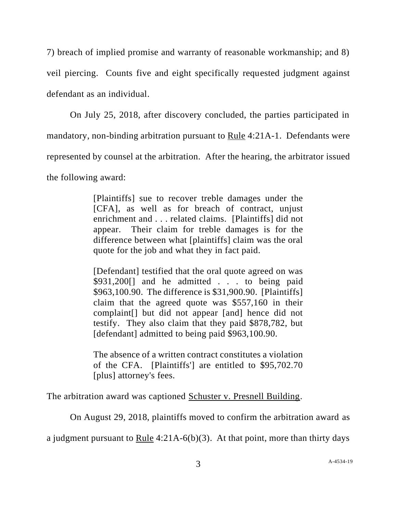7) breach of implied promise and warranty of reasonable workmanship; and 8) veil piercing. Counts five and eight specifically requested judgment against defendant as an individual.

On July 25, 2018, after discovery concluded, the parties participated in mandatory, non-binding arbitration pursuant to Rule 4:21A-1. Defendants were represented by counsel at the arbitration. After the hearing, the arbitrator issued the following award:

> [Plaintiffs] sue to recover treble damages under the [CFA], as well as for breach of contract, unjust enrichment and . . . related claims. [Plaintiffs] did not appear. Their claim for treble damages is for the difference between what [plaintiffs] claim was the oral quote for the job and what they in fact paid.

> [Defendant] testified that the oral quote agreed on was \$931,200[] and he admitted . . . to being paid \$963,100.90. The difference is \$31,900.90. [Plaintiffs] claim that the agreed quote was \$557,160 in their complaint[] but did not appear [and] hence did not testify. They also claim that they paid \$878,782, but [defendant] admitted to being paid \$963,100.90.

> The absence of a written contract constitutes a violation of the CFA. [Plaintiffs'] are entitled to \$95,702.70 [plus] attorney's fees.

The arbitration award was captioned Schuster v. Presnell Building.

On August 29, 2018, plaintiffs moved to confirm the arbitration award as

a judgment pursuant to Rule 4:21A-6(b)(3). At that point, more than thirty days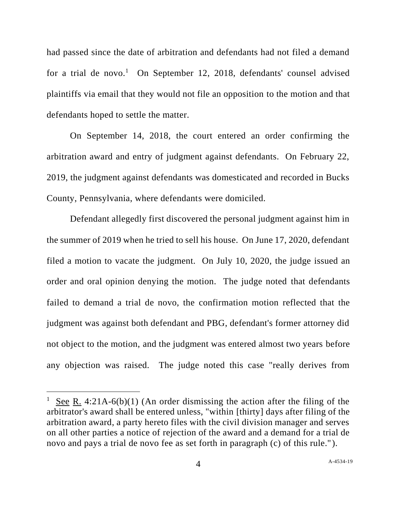had passed since the date of arbitration and defendants had not filed a demand for a trial de novo.<sup>1</sup> On September 12, 2018, defendants' counsel advised plaintiffs via email that they would not file an opposition to the motion and that defendants hoped to settle the matter.

On September 14, 2018, the court entered an order confirming the arbitration award and entry of judgment against defendants. On February 22, 2019, the judgment against defendants was domesticated and recorded in Bucks County, Pennsylvania, where defendants were domiciled.

Defendant allegedly first discovered the personal judgment against him in the summer of 2019 when he tried to sell his house. On June 17, 2020, defendant filed a motion to vacate the judgment. On July 10, 2020, the judge issued an order and oral opinion denying the motion. The judge noted that defendants failed to demand a trial de novo, the confirmation motion reflected that the judgment was against both defendant and PBG, defendant's former attorney did not object to the motion, and the judgment was entered almost two years before any objection was raised. The judge noted this case "really derives from

<sup>&</sup>lt;sup>1</sup> See R. 4:21A-6(b)(1) (An order dismissing the action after the filing of the arbitrator's award shall be entered unless, "within [thirty] days after filing of the arbitration award, a party hereto files with the civil division manager and serves on all other parties a notice of rejection of the award and a demand for a trial de novo and pays a trial de novo fee as set forth in paragraph (c) of this rule." ).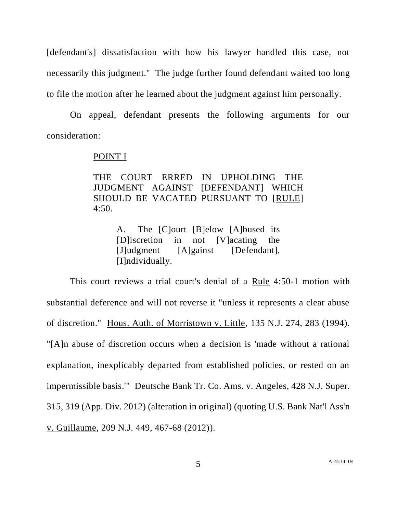[defendant's] dissatisfaction with how his lawyer handled this case, not necessarily this judgment." The judge further found defendant waited too long to file the motion after he learned about the judgment against him personally.

On appeal, defendant presents the following arguments for our consideration:

## POINT I

THE COURT ERRED IN UPHOLDING THE JUDGMENT AGAINST [DEFENDANT] WHICH SHOULD BE VACATED PURSUANT TO [RULE] 4:50.

> A. The [C]ourt [B]elow [A]bused its [D]iscretion in not [V]acating the [J]udgment [A]gainst [Defendant], [I]ndividually.

This court reviews a trial court's denial of a Rule 4:50-1 motion with substantial deference and will not reverse it "unless it represents a clear abuse of discretion." Hous. Auth. of Morristown v. Little, 135 N.J. 274, 283 (1994). "[A]n abuse of discretion occurs when a decision is 'made without a rational explanation, inexplicably departed from established policies, or rested on an impermissible basis.'" Deutsche Bank Tr. Co. Ams. v. Angeles, 428 N.J. Super. 315, 319 (App. Div. 2012) (alteration in original) (quoting U.S. Bank Nat'l Ass'n v. Guillaume, 209 N.J. 449, 467-68 (2012)).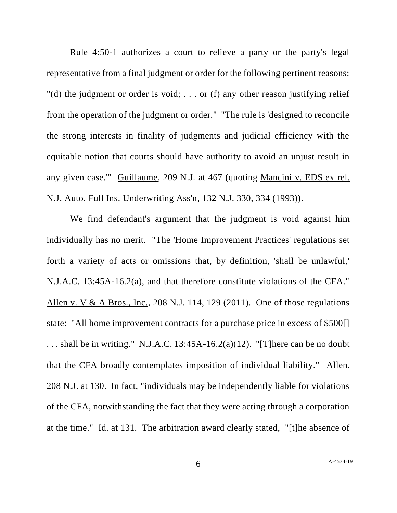Rule 4:50-1 authorizes a court to relieve a party or the party's legal representative from a final judgment or order for the following pertinent reasons: "(d) the judgment or order is void; . . . or (f) any other reason justifying relief from the operation of the judgment or order." "The rule is 'designed to reconcile the strong interests in finality of judgments and judicial efficiency with the equitable notion that courts should have authority to avoid an unjust result in any given case.'" Guillaume, 209 N.J. at 467 (quoting Mancini v. EDS ex rel. N.J. Auto. Full Ins. Underwriting Ass'n, 132 N.J. 330, 334 (1993)).

We find defendant's argument that the judgment is void against him individually has no merit. "The 'Home Improvement Practices' regulations set forth a variety of acts or omissions that, by definition, 'shall be unlawful,' N.J.A.C. 13:45A-16.2(a), and that therefore constitute violations of the CFA." Allen v. V & A Bros., Inc., 208 N.J. 114, 129 (2011). One of those regulations state: "All home improvement contracts for a purchase price in excess of \$500[] ... shall be in writing." N.J.A.C.  $13:45A-16.2(a)(12)$ . "[T] here can be no doubt that the CFA broadly contemplates imposition of individual liability." Allen, 208 N.J. at 130. In fact, "individuals may be independently liable for violations of the CFA, notwithstanding the fact that they were acting through a corporation at the time." Id. at 131. The arbitration award clearly stated, "[t]he absence of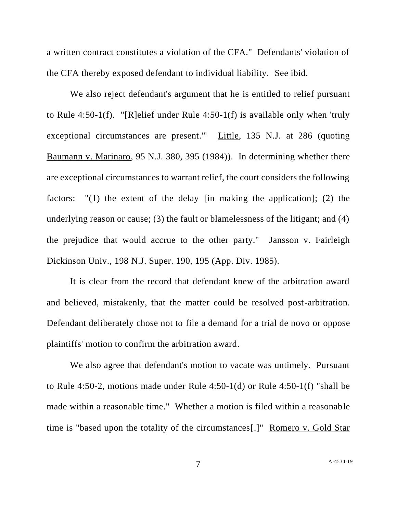a written contract constitutes a violation of the CFA." Defendants' violation of the CFA thereby exposed defendant to individual liability. See ibid.

We also reject defendant's argument that he is entitled to relief pursuant to Rule 4:50-1(f). "[R]elief under Rule 4:50-1(f) is available only when 'truly exceptional circumstances are present.'" Little, 135 N.J. at 286 (quoting Baumann v. Marinaro, 95 N.J. 380, 395 (1984)). In determining whether there are exceptional circumstances to warrant relief, the court considers the following factors: "(1) the extent of the delay [in making the application]; (2) the underlying reason or cause; (3) the fault or blamelessness of the litigant; and (4) the prejudice that would accrue to the other party." Jansson v. Fairleigh Dickinson Univ., 198 N.J. Super. 190, 195 (App. Div. 1985).

It is clear from the record that defendant knew of the arbitration award and believed, mistakenly, that the matter could be resolved post-arbitration. Defendant deliberately chose not to file a demand for a trial de novo or oppose plaintiffs' motion to confirm the arbitration award.

We also agree that defendant's motion to vacate was untimely. Pursuant to Rule 4:50-2, motions made under Rule 4:50-1(d) or Rule 4:50-1(f) "shall be made within a reasonable time." Whether a motion is filed within a reasonable time is "based upon the totality of the circumstances[.]" Romero v. Gold Star

7